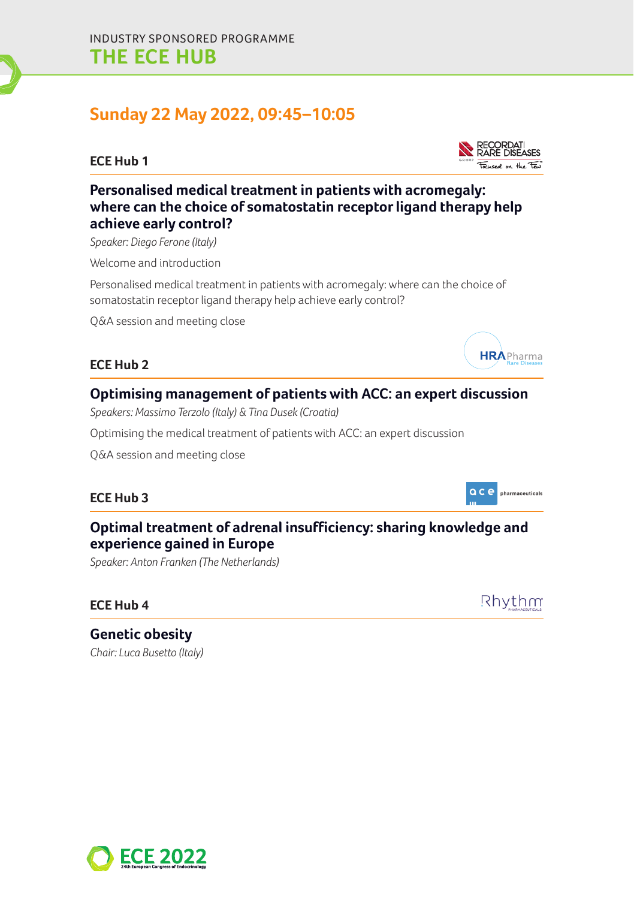# **Sunday 22 May 2022, 09:45–10:05**

#### **ECE Hub 1**



*Speaker: Diego Ferone (Italy)*

Welcome and introduction

Personalised medical treatment in patients with acromegaly: where can the choice of somatostatin receptor ligand therapy help achieve early control?

Q&A session and meeting close

#### **ECE Hub 2**

## **Optimising management of patients with ACC: an expert discussion**

*Speakers: Massimo Terzolo (Italy) & Tina Dusek (Croatia)*

Optimising the medical treatment of patients with ACC: an expert discussion

Q&A session and meeting close

#### **ECE Hub 3**

## **Optimal treatment of adrenal insufficiency: sharing knowledge and experience gained in Europe**

*Speaker: Anton Franken (The Netherlands)*

#### **ECE Hub 4**

Rhythm

**Genetic obesity**  *Chair: Luca Busetto (Italy)*







**HRAPharma** 

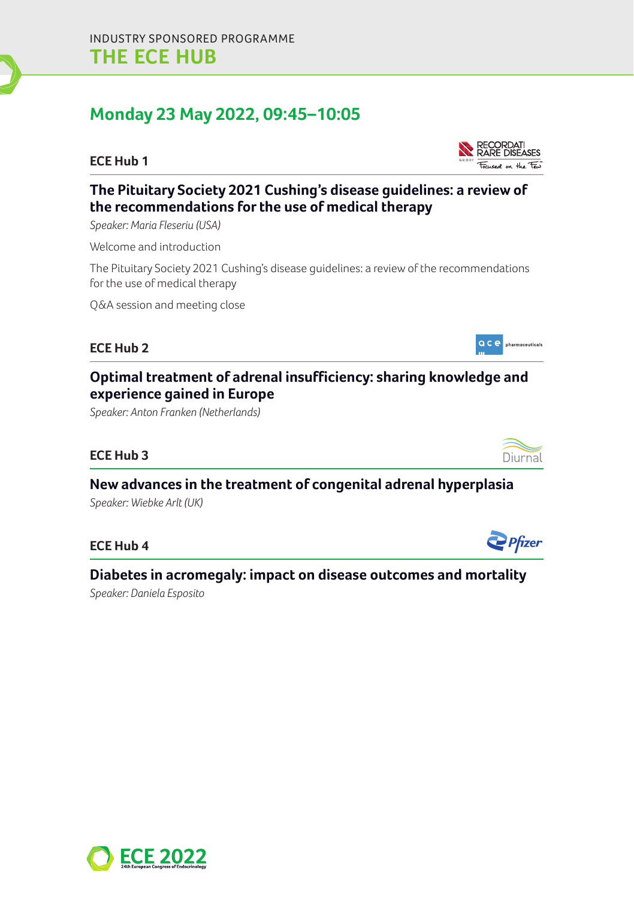# **Monday 23 May 2022, 09:45–10:05**

#### **ECE Hub 1**



## **The Pituitary Society 2021 Cushing's disease guidelines: a review of the recommendations for the use of medical therapy**

*Speaker: Maria Fleseriu (USA)*

Welcome and introduction

The Pituitary Society 2021 Cushing's disease guidelines: a review of the recommendations for the use of medical therapy

Q&A session and meeting close

#### **ECE Hub 2**

## **Optimal treatment of adrenal insufficiency: sharing knowledge and experience gained in Europe**

*Speaker: Anton Franken (Netherlands)*

#### **ECE Hub 3**

**New advances in the treatment of congenital adrenal hyperplasia** 

*Speaker: Wiebke Arlt (UK)*

#### **ECE Hub 4**

## **Diabetes in acromegaly: impact on disease outcomes and mortality**

*Speaker: Daniela Esposito*







**QCC** pharmaceuticals